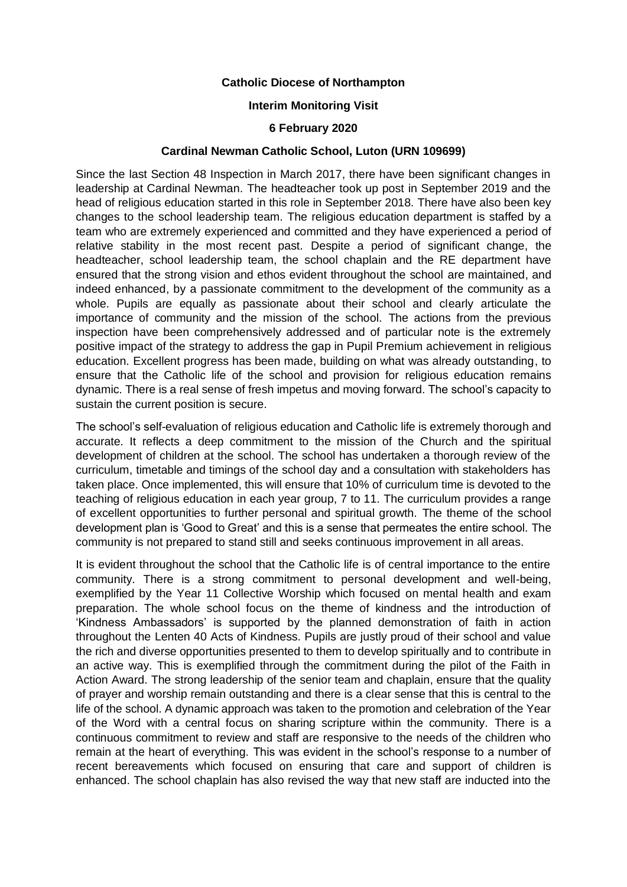### **Catholic Diocese of Northampton**

## **Interim Monitoring Visit**

### **6 February 2020**

## **Cardinal Newman Catholic School, Luton (URN 109699)**

Since the last Section 48 Inspection in March 2017, there have been significant changes in leadership at Cardinal Newman. The headteacher took up post in September 2019 and the head of religious education started in this role in September 2018. There have also been key changes to the school leadership team. The religious education department is staffed by a team who are extremely experienced and committed and they have experienced a period of relative stability in the most recent past. Despite a period of significant change, the headteacher, school leadership team, the school chaplain and the RE department have ensured that the strong vision and ethos evident throughout the school are maintained, and indeed enhanced, by a passionate commitment to the development of the community as a whole. Pupils are equally as passionate about their school and clearly articulate the importance of community and the mission of the school. The actions from the previous inspection have been comprehensively addressed and of particular note is the extremely positive impact of the strategy to address the gap in Pupil Premium achievement in religious education. Excellent progress has been made, building on what was already outstanding, to ensure that the Catholic life of the school and provision for religious education remains dynamic. There is a real sense of fresh impetus and moving forward. The school's capacity to sustain the current position is secure.

The school's self-evaluation of religious education and Catholic life is extremely thorough and accurate. It reflects a deep commitment to the mission of the Church and the spiritual development of children at the school. The school has undertaken a thorough review of the curriculum, timetable and timings of the school day and a consultation with stakeholders has taken place. Once implemented, this will ensure that 10% of curriculum time is devoted to the teaching of religious education in each year group, 7 to 11. The curriculum provides a range of excellent opportunities to further personal and spiritual growth. The theme of the school development plan is 'Good to Great' and this is a sense that permeates the entire school. The community is not prepared to stand still and seeks continuous improvement in all areas.

It is evident throughout the school that the Catholic life is of central importance to the entire community. There is a strong commitment to personal development and well-being, exemplified by the Year 11 Collective Worship which focused on mental health and exam preparation. The whole school focus on the theme of kindness and the introduction of 'Kindness Ambassadors' is supported by the planned demonstration of faith in action throughout the Lenten 40 Acts of Kindness. Pupils are justly proud of their school and value the rich and diverse opportunities presented to them to develop spiritually and to contribute in an active way. This is exemplified through the commitment during the pilot of the Faith in Action Award. The strong leadership of the senior team and chaplain, ensure that the quality of prayer and worship remain outstanding and there is a clear sense that this is central to the life of the school. A dynamic approach was taken to the promotion and celebration of the Year of the Word with a central focus on sharing scripture within the community. There is a continuous commitment to review and staff are responsive to the needs of the children who remain at the heart of everything. This was evident in the school's response to a number of recent bereavements which focused on ensuring that care and support of children is enhanced. The school chaplain has also revised the way that new staff are inducted into the